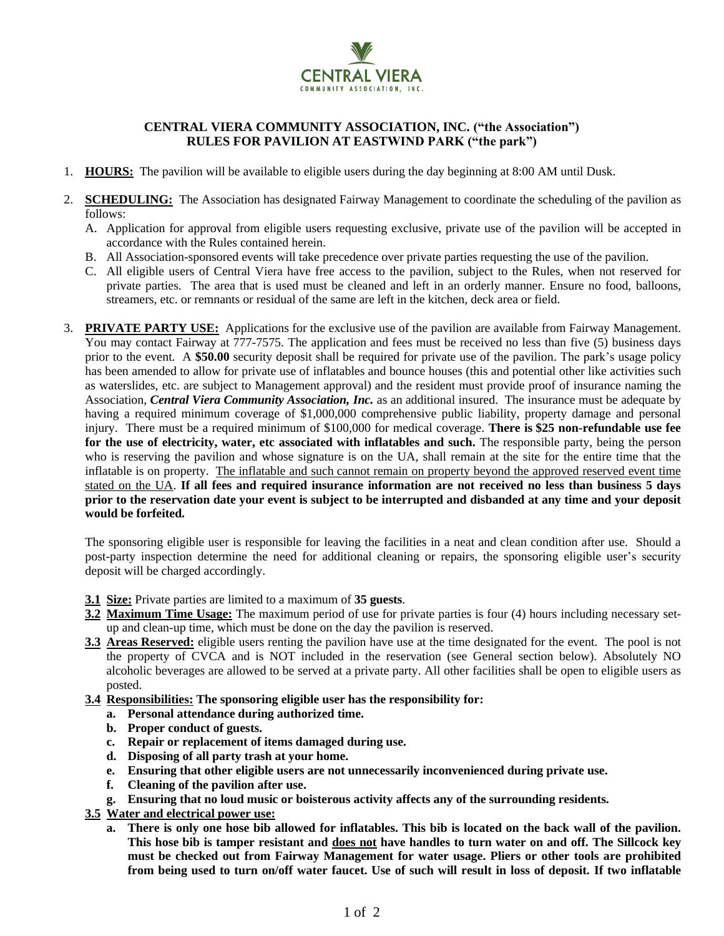

## **CENTRAL VIERA COMMUNITY ASSOCIATION, INC. ("the Association") RULES FOR PAVILION AT EASTWIND PARK ("the park")**

- 1. **HOURS:** The pavilion will be available to eligible users during the day beginning at 8:00 AM until Dusk.
- 2. **SCHEDULING:** The Association has designated Fairway Management to coordinate the scheduling of the pavilion as follows:
	- A. Application for approval from eligible users requesting exclusive, private use of the pavilion will be accepted in accordance with the Rules contained herein.
	- B. All Association-sponsored events will take precedence over private parties requesting the use of the pavilion.
	- C. All eligible users of Central Viera have free access to the pavilion, subject to the Rules, when not reserved for private parties. The area that is used must be cleaned and left in an orderly manner. Ensure no food, balloons, streamers, etc. or remnants or residual of the same are left in the kitchen, deck area or field.
- 3. **PRIVATE PARTY USE:** Applications for the exclusive use of the pavilion are available from Fairway Management. You may contact Fairway at 777-7575. The application and fees must be received no less than five (5) business days prior to the event. A **\$50.00** security deposit shall be required for private use of the pavilion. The park's usage policy has been amended to allow for private use of inflatables and bounce houses (this and potential other like activities such as waterslides, etc. are subject to Management approval) and the resident must provide proof of insurance naming the Association, *Central Viera Community Association, Inc.* as an additional insured. The insurance must be adequate by having a required minimum coverage of \$1,000,000 comprehensive public liability, property damage and personal injury. There must be a required minimum of \$100,000 for medical coverage. **There is \$25 non-refundable use fee for the use of electricity, water, etc associated with inflatables and such.** The responsible party, being the person who is reserving the pavilion and whose signature is on the UA, shall remain at the site for the entire time that the inflatable is on property. The inflatable and such cannot remain on property beyond the approved reserved event time stated on the UA. **If all fees and required insurance information are not received no less than business 5 days prior to the reservation date your event is subject to be interrupted and disbanded at any time and your deposit would be forfeited.**

The sponsoring eligible user is responsible for leaving the facilities in a neat and clean condition after use. Should a post-party inspection determine the need for additional cleaning or repairs, the sponsoring eligible user's security deposit will be charged accordingly.

- **3.1 Size:** Private parties are limited to a maximum of **35 guests**.
- **3.2 Maximum Time Usage:** The maximum period of use for private parties is four (4) hours including necessary setup and clean-up time, which must be done on the day the pavilion is reserved.
- **3.3 Areas Reserved:** eligible users renting the pavilion have use at the time designated for the event. The pool is not the property of CVCA and is NOT included in the reservation (see General section below). Absolutely NO alcoholic beverages are allowed to be served at a private party. All other facilities shall be open to eligible users as posted.
- **3.4 Responsibilities: The sponsoring eligible user has the responsibility for:**
	- **a. Personal attendance during authorized time.**
	- **b. Proper conduct of guests.**
	- **c. Repair or replacement of items damaged during use.**
	- **d. Disposing of all party trash at your home.**
	- **e. Ensuring that other eligible users are not unnecessarily inconvenienced during private use.**
	- **f. Cleaning of the pavilion after use.**
	- **g. Ensuring that no loud music or boisterous activity affects any of the surrounding residents.**
- **3.5 Water and electrical power use:**
	- **a. There is only one hose bib allowed for inflatables. This bib is located on the back wall of the pavilion. This hose bib is tamper resistant and does not have handles to turn water on and off. The Sillcock key must be checked out from Fairway Management for water usage. Pliers or other tools are prohibited from being used to turn on/off water faucet. Use of such will result in loss of deposit. If two inflatable**